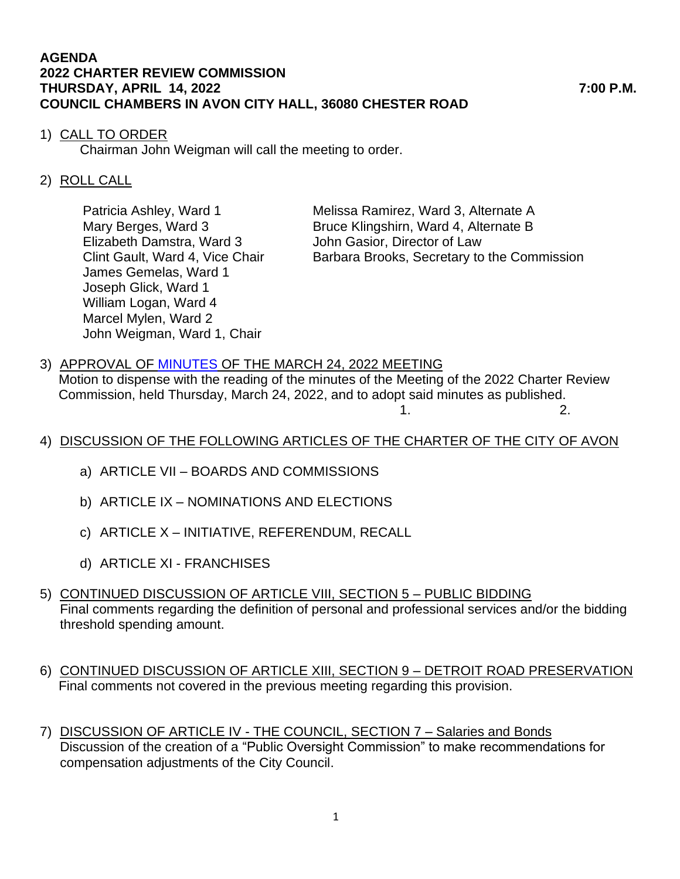## **AGENDA 2022 CHARTER REVIEW COMMISSION THURSDAY, APRIL 14, 2022 7:00 P.M. COUNCIL CHAMBERS IN AVON CITY HALL, 36080 CHESTER ROAD**

## 1) CALL TO ORDER

Chairman John Weigman will call the meeting to order.

## 2) ROLL CALL

Elizabeth Damstra, Ward 3 John Gasior, Director of Law James Gemelas, Ward 1 Joseph Glick, Ward 1 William Logan, Ward 4 Marcel Mylen, Ward 2 John Weigman, Ward 1, Chair

Patricia Ashley, Ward 1 Melissa Ramirez, Ward 3, Alternate A Mary Berges, Ward 3 Bruce Klingshirn, Ward 4, Alternate B Clint Gault, Ward 4, Vice Chair Barbara Brooks, Secretary to the Commission

- 3) APPROVAL OF [MINUTES](https://www.cityofavon.com/AgendaCenter/ViewFile/Minutes/_03242022-1081) OF THE MARCH 24, 2022 MEETING Motion to dispense with the reading of the minutes of the Meeting of the 2022 Charter Review Commission, held Thursday, March 24, 2022, and to adopt said minutes as published.
	- $1.$  2.
- 4) DISCUSSION OF THE FOLLOWING ARTICLES OF THE CHARTER OF THE CITY OF AVON
	- a) ARTICLE VII BOARDS AND COMMISSIONS
	- b) ARTICLE IX NOMINATIONS AND ELECTIONS
	- c) ARTICLE X INITIATIVE, REFERENDUM, RECALL
	- d) ARTICLE XI FRANCHISES
- 5) CONTINUED DISCUSSION OF ARTICLE VIII, SECTION 5 PUBLIC BIDDING Final comments regarding the definition of personal and professional services and/or the bidding threshold spending amount.
- 6) CONTINUED DISCUSSION OF ARTICLE XIII, SECTION 9 DETROIT ROAD PRESERVATION Final comments not covered in the previous meeting regarding this provision.
- 7) DISCUSSION OF ARTICLE IV THE COUNCIL, SECTION 7 Salaries and Bonds Discussion of the creation of a "Public Oversight Commission" to make recommendations for compensation adjustments of the City Council.